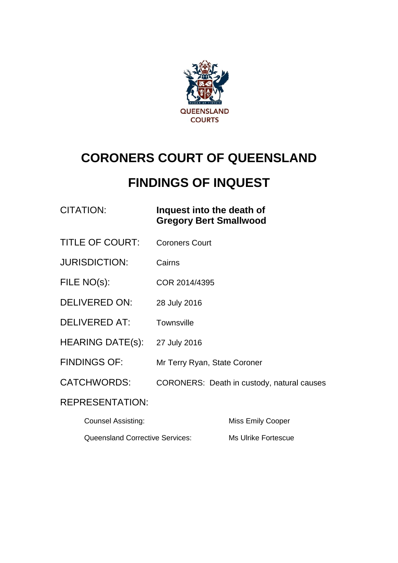

# **CORONERS COURT OF QUEENSLAND**

# **FINDINGS OF INQUEST**

### CITATION: **Inquest into the death of Gregory Bert Smallwood**

- TITLE OF COURT: Coroners Court
- JURISDICTION: Cairns
- FILE NO(s): COR 2014/4395
- DELIVERED ON: 28 July 2016
- DELIVERED AT: Townsville
- HEARING DATE(s): 27 July 2016
- FINDINGS OF: Mr Terry Ryan, State Coroner
- CATCHWORDS: CORONERS: Death in custody, natural causes

### REPRESENTATION:

| <b>Counsel Assisting:</b>              | Miss Emily Cooper   |
|----------------------------------------|---------------------|
| <b>Queensland Corrective Services:</b> | Ms Ulrike Fortescue |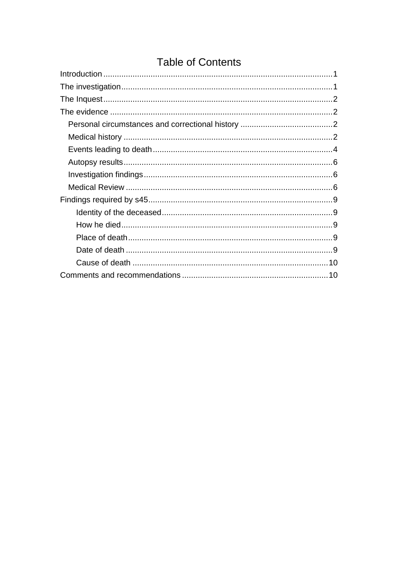## **Table of Contents**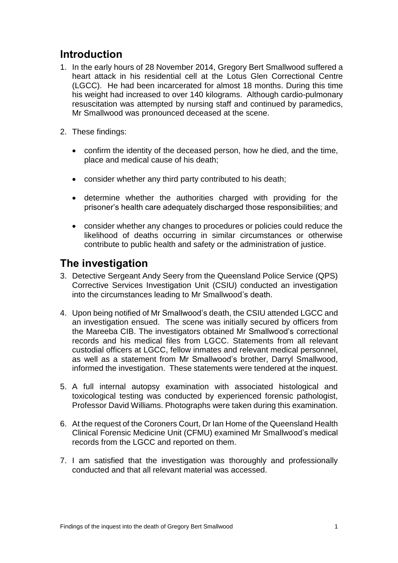## <span id="page-2-0"></span>**Introduction**

- 1. In the early hours of 28 November 2014, Gregory Bert Smallwood suffered a heart attack in his residential cell at the Lotus Glen Correctional Centre (LGCC). He had been incarcerated for almost 18 months. During this time his weight had increased to over 140 kilograms. Although cardio-pulmonary resuscitation was attempted by nursing staff and continued by paramedics, Mr Smallwood was pronounced deceased at the scene.
- 2. These findings:
	- confirm the identity of the deceased person, how he died, and the time, place and medical cause of his death;
	- consider whether any third party contributed to his death;
	- determine whether the authorities charged with providing for the prisoner's health care adequately discharged those responsibilities; and
	- consider whether any changes to procedures or policies could reduce the likelihood of deaths occurring in similar circumstances or otherwise contribute to public health and safety or the administration of justice.

## <span id="page-2-1"></span>**The investigation**

- 3. Detective Sergeant Andy Seery from the Queensland Police Service (QPS) Corrective Services Investigation Unit (CSIU) conducted an investigation into the circumstances leading to Mr Smallwood's death.
- 4. Upon being notified of Mr Smallwood's death, the CSIU attended LGCC and an investigation ensued. The scene was initially secured by officers from the Mareeba CIB. The investigators obtained Mr Smallwood's correctional records and his medical files from LGCC. Statements from all relevant custodial officers at LGCC, fellow inmates and relevant medical personnel, as well as a statement from Mr Smallwood's brother, Darryl Smallwood, informed the investigation. These statements were tendered at the inquest.
- 5. A full internal autopsy examination with associated histological and toxicological testing was conducted by experienced forensic pathologist, Professor David Williams. Photographs were taken during this examination.
- 6. At the request of the Coroners Court, Dr Ian Home of the Queensland Health Clinical Forensic Medicine Unit (CFMU) examined Mr Smallwood's medical records from the LGCC and reported on them.
- 7. I am satisfied that the investigation was thoroughly and professionally conducted and that all relevant material was accessed.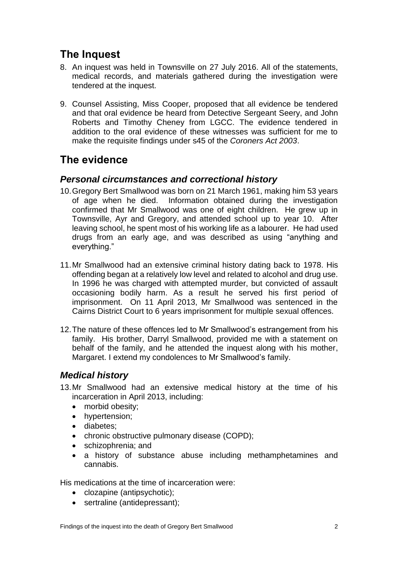## <span id="page-3-0"></span>**The Inquest**

- 8. An inquest was held in Townsville on 27 July 2016. All of the statements, medical records, and materials gathered during the investigation were tendered at the inquest.
- 9. Counsel Assisting, Miss Cooper, proposed that all evidence be tendered and that oral evidence be heard from Detective Sergeant Seery, and John Roberts and Timothy Cheney from LGCC. The evidence tendered in addition to the oral evidence of these witnesses was sufficient for me to make the requisite findings under s45 of the *Coroners Act 2003*.

## <span id="page-3-1"></span>**The evidence**

#### <span id="page-3-2"></span>*Personal circumstances and correctional history*

- 10.Gregory Bert Smallwood was born on 21 March 1961, making him 53 years of age when he died. Information obtained during the investigation confirmed that Mr Smallwood was one of eight children. He grew up in Townsville, Ayr and Gregory, and attended school up to year 10. After leaving school, he spent most of his working life as a labourer. He had used drugs from an early age, and was described as using "anything and everything."
- 11.Mr Smallwood had an extensive criminal history dating back to 1978. His offending began at a relatively low level and related to alcohol and drug use. In 1996 he was charged with attempted murder, but convicted of assault occasioning bodily harm. As a result he served his first period of imprisonment. On 11 April 2013, Mr Smallwood was sentenced in the Cairns District Court to 6 years imprisonment for multiple sexual offences.
- 12.The nature of these offences led to Mr Smallwood's estrangement from his family. His brother, Darryl Smallwood, provided me with a statement on behalf of the family, and he attended the inquest along with his mother, Margaret. I extend my condolences to Mr Smallwood's family.

### <span id="page-3-3"></span>*Medical history*

- 13.Mr Smallwood had an extensive medical history at the time of his incarceration in April 2013, including:
	- morbid obesity;
	- hypertension;
	- diabetes;
	- chronic obstructive pulmonary disease (COPD);
	- schizophrenia; and
	- a history of substance abuse including methamphetamines and cannabis.

His medications at the time of incarceration were:

- clozapine (antipsychotic);
- sertraline (antidepressant);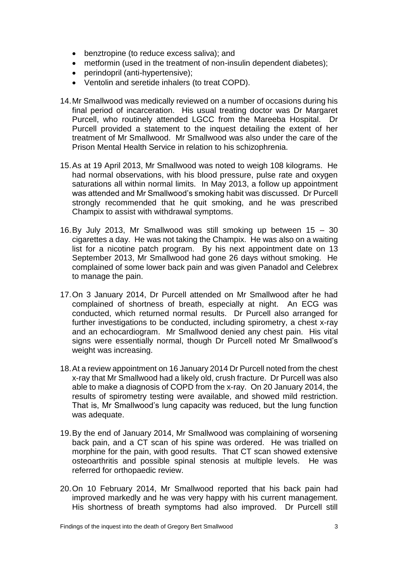- benztropine (to reduce excess saliva); and
- metformin (used in the treatment of non-insulin dependent diabetes);
- perindopril (anti-hypertensive);
- Ventolin and seretide inhalers (to treat COPD).
- 14.Mr Smallwood was medically reviewed on a number of occasions during his final period of incarceration. His usual treating doctor was Dr Margaret Purcell, who routinely attended LGCC from the Mareeba Hospital. Dr Purcell provided a statement to the inquest detailing the extent of her treatment of Mr Smallwood. Mr Smallwood was also under the care of the Prison Mental Health Service in relation to his schizophrenia.
- 15.As at 19 April 2013, Mr Smallwood was noted to weigh 108 kilograms. He had normal observations, with his blood pressure, pulse rate and oxygen saturations all within normal limits. In May 2013, a follow up appointment was attended and Mr Smallwood's smoking habit was discussed. Dr Purcell strongly recommended that he quit smoking, and he was prescribed Champix to assist with withdrawal symptoms.
- 16.By July 2013, Mr Smallwood was still smoking up between 15 30 cigarettes a day. He was not taking the Champix. He was also on a waiting list for a nicotine patch program. By his next appointment date on 13 September 2013, Mr Smallwood had gone 26 days without smoking. He complained of some lower back pain and was given Panadol and Celebrex to manage the pain.
- 17.On 3 January 2014, Dr Purcell attended on Mr Smallwood after he had complained of shortness of breath, especially at night. An ECG was conducted, which returned normal results. Dr Purcell also arranged for further investigations to be conducted, including spirometry, a chest x-ray and an echocardiogram. Mr Smallwood denied any chest pain. His vital signs were essentially normal, though Dr Purcell noted Mr Smallwood's weight was increasing.
- 18.At a review appointment on 16 January 2014 Dr Purcell noted from the chest x-ray that Mr Smallwood had a likely old, crush fracture. Dr Purcell was also able to make a diagnosis of COPD from the x-ray. On 20 January 2014, the results of spirometry testing were available, and showed mild restriction. That is, Mr Smallwood's lung capacity was reduced, but the lung function was adequate.
- 19.By the end of January 2014, Mr Smallwood was complaining of worsening back pain, and a CT scan of his spine was ordered. He was trialled on morphine for the pain, with good results. That CT scan showed extensive osteoarthritis and possible spinal stenosis at multiple levels. He was referred for orthopaedic review.
- 20.On 10 February 2014, Mr Smallwood reported that his back pain had improved markedly and he was very happy with his current management. His shortness of breath symptoms had also improved. Dr Purcell still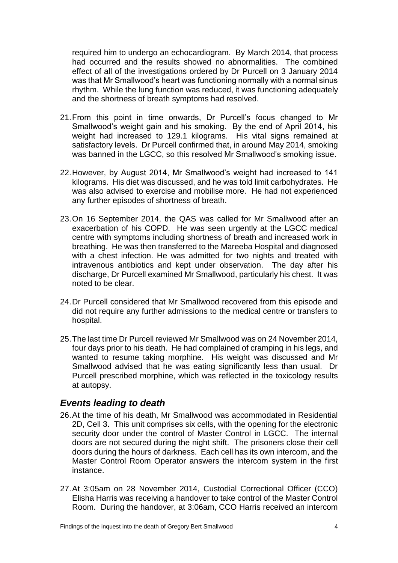required him to undergo an echocardiogram. By March 2014, that process had occurred and the results showed no abnormalities. The combined effect of all of the investigations ordered by Dr Purcell on 3 January 2014 was that Mr Smallwood's heart was functioning normally with a normal sinus rhythm. While the lung function was reduced, it was functioning adequately and the shortness of breath symptoms had resolved.

- 21.From this point in time onwards, Dr Purcell's focus changed to Mr Smallwood's weight gain and his smoking. By the end of April 2014, his weight had increased to 129.1 kilograms. His vital signs remained at satisfactory levels. Dr Purcell confirmed that, in around May 2014, smoking was banned in the LGCC, so this resolved Mr Smallwood's smoking issue.
- 22.However, by August 2014, Mr Smallwood's weight had increased to 141 kilograms. His diet was discussed, and he was told limit carbohydrates. He was also advised to exercise and mobilise more. He had not experienced any further episodes of shortness of breath.
- 23.On 16 September 2014, the QAS was called for Mr Smallwood after an exacerbation of his COPD. He was seen urgently at the LGCC medical centre with symptoms including shortness of breath and increased work in breathing. He was then transferred to the Mareeba Hospital and diagnosed with a chest infection. He was admitted for two nights and treated with intravenous antibiotics and kept under observation. The day after his discharge, Dr Purcell examined Mr Smallwood, particularly his chest. It was noted to be clear.
- 24.Dr Purcell considered that Mr Smallwood recovered from this episode and did not require any further admissions to the medical centre or transfers to hospital.
- 25.The last time Dr Purcell reviewed Mr Smallwood was on 24 November 2014, four days prior to his death. He had complained of cramping in his legs, and wanted to resume taking morphine. His weight was discussed and Mr Smallwood advised that he was eating significantly less than usual. Dr Purcell prescribed morphine, which was reflected in the toxicology results at autopsy.

#### <span id="page-5-0"></span>*Events leading to death*

- 26.At the time of his death, Mr Smallwood was accommodated in Residential 2D, Cell 3. This unit comprises six cells, with the opening for the electronic security door under the control of Master Control in LGCC. The internal doors are not secured during the night shift. The prisoners close their cell doors during the hours of darkness. Each cell has its own intercom, and the Master Control Room Operator answers the intercom system in the first instance.
- 27.At 3:05am on 28 November 2014, Custodial Correctional Officer (CCO) Elisha Harris was receiving a handover to take control of the Master Control Room. During the handover, at 3:06am, CCO Harris received an intercom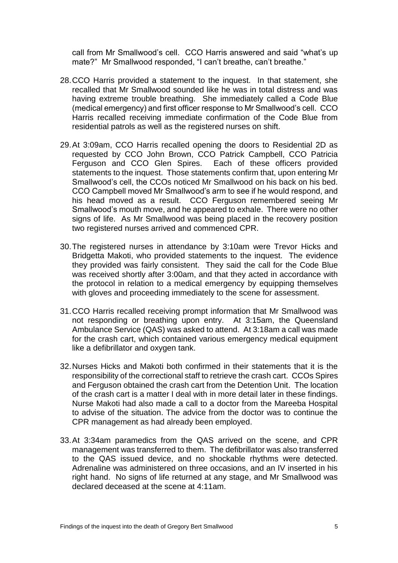call from Mr Smallwood's cell. CCO Harris answered and said "what's up mate?" Mr Smallwood responded, "I can't breathe, can't breathe."

- 28.CCO Harris provided a statement to the inquest. In that statement, she recalled that Mr Smallwood sounded like he was in total distress and was having extreme trouble breathing. She immediately called a Code Blue (medical emergency) and first officer response to Mr Smallwood's cell. CCO Harris recalled receiving immediate confirmation of the Code Blue from residential patrols as well as the registered nurses on shift.
- 29.At 3:09am, CCO Harris recalled opening the doors to Residential 2D as requested by CCO John Brown, CCO Patrick Campbell, CCO Patricia Ferguson and CCO Glen Spires. Each of these officers provided statements to the inquest. Those statements confirm that, upon entering Mr Smallwood's cell, the CCOs noticed Mr Smallwood on his back on his bed. CCO Campbell moved Mr Smallwood's arm to see if he would respond, and his head moved as a result. CCO Ferguson remembered seeing Mr Smallwood's mouth move, and he appeared to exhale. There were no other signs of life. As Mr Smallwood was being placed in the recovery position two registered nurses arrived and commenced CPR.
- 30.The registered nurses in attendance by 3:10am were Trevor Hicks and Bridgetta Makoti, who provided statements to the inquest. The evidence they provided was fairly consistent. They said the call for the Code Blue was received shortly after 3:00am, and that they acted in accordance with the protocol in relation to a medical emergency by equipping themselves with gloves and proceeding immediately to the scene for assessment.
- 31.CCO Harris recalled receiving prompt information that Mr Smallwood was not responding or breathing upon entry. At 3:15am, the Queensland Ambulance Service (QAS) was asked to attend. At 3:18am a call was made for the crash cart, which contained various emergency medical equipment like a defibrillator and oxygen tank.
- 32.Nurses Hicks and Makoti both confirmed in their statements that it is the responsibility of the correctional staff to retrieve the crash cart. CCOs Spires and Ferguson obtained the crash cart from the Detention Unit. The location of the crash cart is a matter I deal with in more detail later in these findings. Nurse Makoti had also made a call to a doctor from the Mareeba Hospital to advise of the situation. The advice from the doctor was to continue the CPR management as had already been employed.
- 33.At 3:34am paramedics from the QAS arrived on the scene, and CPR management was transferred to them. The defibrillator was also transferred to the QAS issued device, and no shockable rhythms were detected. Adrenaline was administered on three occasions, and an IV inserted in his right hand. No signs of life returned at any stage, and Mr Smallwood was declared deceased at the scene at 4:11am.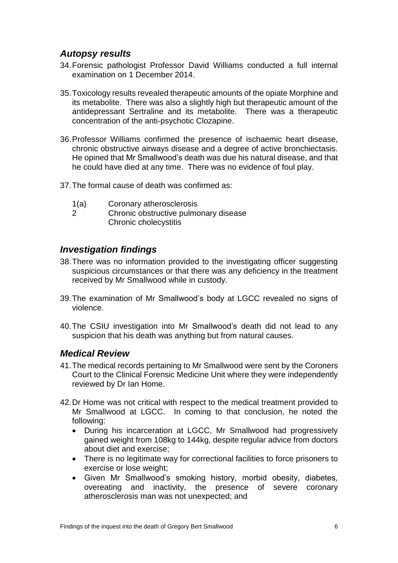#### <span id="page-7-0"></span>*Autopsy results*

- 34.Forensic pathologist Professor David Williams conducted a full internal examination on 1 December 2014.
- 35.Toxicology results revealed therapeutic amounts of the opiate Morphine and its metabolite. There was also a slightly high but therapeutic amount of the antidepressant Sertraline and its metabolite. There was a therapeutic concentration of the anti-psychotic Clozapine.
- 36.Professor Williams confirmed the presence of ischaemic heart disease, chronic obstructive airways disease and a degree of active bronchiectasis. He opined that Mr Smallwood's death was due his natural disease, and that he could have died at any time. There was no evidence of foul play.
- 37.The formal cause of death was confirmed as:
	- 1(a) Coronary atherosclerosis
	- 2 Chronic obstructive pulmonary disease Chronic cholecystitis

#### <span id="page-7-1"></span>*Investigation findings*

- 38.There was no information provided to the investigating officer suggesting suspicious circumstances or that there was any deficiency in the treatment received by Mr Smallwood while in custody.
- 39.The examination of Mr Smallwood's body at LGCC revealed no signs of violence.
- 40.The CSIU investigation into Mr Smallwood's death did not lead to any suspicion that his death was anything but from natural causes.

#### <span id="page-7-2"></span>*Medical Review*

- 41.The medical records pertaining to Mr Smallwood were sent by the Coroners Court to the Clinical Forensic Medicine Unit where they were independently reviewed by Dr Ian Home.
- 42.Dr Home was not critical with respect to the medical treatment provided to Mr Smallwood at LGCC. In coming to that conclusion, he noted the following:
	- During his incarceration at LGCC, Mr Smallwood had progressively gained weight from 108kg to 144kg, despite regular advice from doctors about diet and exercise;
	- There is no legitimate way for correctional facilities to force prisoners to exercise or lose weight;
	- Given Mr Smallwood's smoking history, morbid obesity, diabetes, overeating and inactivity, the presence of severe coronary atherosclerosis man was not unexpected; and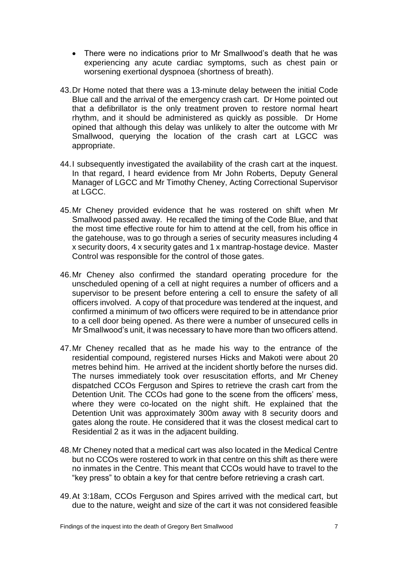- There were no indications prior to Mr Smallwood's death that he was experiencing any acute cardiac symptoms, such as chest pain or worsening exertional dyspnoea (shortness of breath).
- 43.Dr Home noted that there was a 13-minute delay between the initial Code Blue call and the arrival of the emergency crash cart. Dr Home pointed out that a defibrillator is the only treatment proven to restore normal heart rhythm, and it should be administered as quickly as possible. Dr Home opined that although this delay was unlikely to alter the outcome with Mr Smallwood, querying the location of the crash cart at LGCC was appropriate.
- 44.I subsequently investigated the availability of the crash cart at the inquest. In that regard, I heard evidence from Mr John Roberts, Deputy General Manager of LGCC and Mr Timothy Cheney, Acting Correctional Supervisor at LGCC.
- 45.Mr Cheney provided evidence that he was rostered on shift when Mr Smallwood passed away. He recalled the timing of the Code Blue, and that the most time effective route for him to attend at the cell, from his office in the gatehouse, was to go through a series of security measures including 4 x security doors, 4 x security gates and 1 x mantrap-hostage device. Master Control was responsible for the control of those gates.
- 46.Mr Cheney also confirmed the standard operating procedure for the unscheduled opening of a cell at night requires a number of officers and a supervisor to be present before entering a cell to ensure the safety of all officers involved. A copy of that procedure was tendered at the inquest, and confirmed a minimum of two officers were required to be in attendance prior to a cell door being opened. As there were a number of unsecured cells in Mr Smallwood's unit, it was necessary to have more than two officers attend.
- 47.Mr Cheney recalled that as he made his way to the entrance of the residential compound, registered nurses Hicks and Makoti were about 20 metres behind him. He arrived at the incident shortly before the nurses did. The nurses immediately took over resuscitation efforts, and Mr Cheney dispatched CCOs Ferguson and Spires to retrieve the crash cart from the Detention Unit. The CCOs had gone to the scene from the officers' mess, where they were co-located on the night shift. He explained that the Detention Unit was approximately 300m away with 8 security doors and gates along the route. He considered that it was the closest medical cart to Residential 2 as it was in the adjacent building.
- 48.Mr Cheney noted that a medical cart was also located in the Medical Centre but no CCOs were rostered to work in that centre on this shift as there were no inmates in the Centre. This meant that CCOs would have to travel to the "key press" to obtain a key for that centre before retrieving a crash cart.
- 49.At 3:18am, CCOs Ferguson and Spires arrived with the medical cart, but due to the nature, weight and size of the cart it was not considered feasible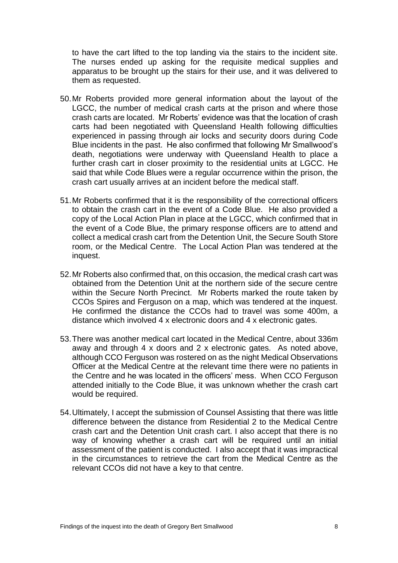to have the cart lifted to the top landing via the stairs to the incident site. The nurses ended up asking for the requisite medical supplies and apparatus to be brought up the stairs for their use, and it was delivered to them as requested.

- 50.Mr Roberts provided more general information about the layout of the LGCC, the number of medical crash carts at the prison and where those crash carts are located. Mr Roberts' evidence was that the location of crash carts had been negotiated with Queensland Health following difficulties experienced in passing through air locks and security doors during Code Blue incidents in the past. He also confirmed that following Mr Smallwood's death, negotiations were underway with Queensland Health to place a further crash cart in closer proximity to the residential units at LGCC. He said that while Code Blues were a regular occurrence within the prison, the crash cart usually arrives at an incident before the medical staff.
- 51.Mr Roberts confirmed that it is the responsibility of the correctional officers to obtain the crash cart in the event of a Code Blue. He also provided a copy of the Local Action Plan in place at the LGCC, which confirmed that in the event of a Code Blue, the primary response officers are to attend and collect a medical crash cart from the Detention Unit, the Secure South Store room, or the Medical Centre. The Local Action Plan was tendered at the inquest.
- 52.Mr Roberts also confirmed that, on this occasion, the medical crash cart was obtained from the Detention Unit at the northern side of the secure centre within the Secure North Precinct. Mr Roberts marked the route taken by CCOs Spires and Ferguson on a map, which was tendered at the inquest. He confirmed the distance the CCOs had to travel was some 400m, a distance which involved 4 x electronic doors and 4 x electronic gates.
- 53.There was another medical cart located in the Medical Centre, about 336m away and through 4 x doors and 2 x electronic gates. As noted above, although CCO Ferguson was rostered on as the night Medical Observations Officer at the Medical Centre at the relevant time there were no patients in the Centre and he was located in the officers' mess. When CCO Ferguson attended initially to the Code Blue, it was unknown whether the crash cart would be required.
- 54.Ultimately, I accept the submission of Counsel Assisting that there was little difference between the distance from Residential 2 to the Medical Centre crash cart and the Detention Unit crash cart. I also accept that there is no way of knowing whether a crash cart will be required until an initial assessment of the patient is conducted. I also accept that it was impractical in the circumstances to retrieve the cart from the Medical Centre as the relevant CCOs did not have a key to that centre.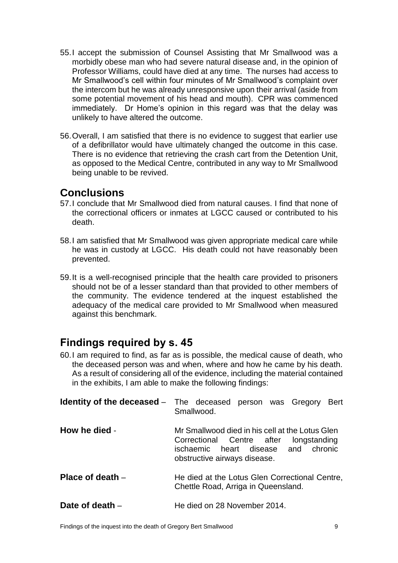- 55.I accept the submission of Counsel Assisting that Mr Smallwood was a morbidly obese man who had severe natural disease and, in the opinion of Professor Williams, could have died at any time. The nurses had access to Mr Smallwood's cell within four minutes of Mr Smallwood's complaint over the intercom but he was already unresponsive upon their arrival (aside from some potential movement of his head and mouth). CPR was commenced immediately. Dr Home's opinion in this regard was that the delay was unlikely to have altered the outcome.
- 56.Overall, I am satisfied that there is no evidence to suggest that earlier use of a defibrillator would have ultimately changed the outcome in this case. There is no evidence that retrieving the crash cart from the Detention Unit, as opposed to the Medical Centre, contributed in any way to Mr Smallwood being unable to be revived.

## **Conclusions**

- 57.I conclude that Mr Smallwood died from natural causes. I find that none of the correctional officers or inmates at LGCC caused or contributed to his death.
- 58.I am satisfied that Mr Smallwood was given appropriate medical care while he was in custody at LGCC. His death could not have reasonably been prevented.
- 59.It is a well-recognised principle that the health care provided to prisoners should not be of a lesser standard than that provided to other members of the community. The evidence tendered at the inquest established the adequacy of the medical care provided to Mr Smallwood when measured against this benchmark.

## <span id="page-10-0"></span>**Findings required by s. 45**

60.I am required to find, as far as is possible, the medical cause of death, who the deceased person was and when, where and how he came by his death. As a result of considering all of the evidence, including the material contained in the exhibits, I am able to make the following findings:

<span id="page-10-4"></span><span id="page-10-3"></span><span id="page-10-2"></span><span id="page-10-1"></span>

|                    | <b>Identity of the deceased</b> – The deceased person was Gregory Bert<br>Smallwood.                                                                             |
|--------------------|------------------------------------------------------------------------------------------------------------------------------------------------------------------|
| How he died -      | Mr Smallwood died in his cell at the Lotus Glen<br>Correctional Centre after longstanding<br>ischaemic heart disease and chronic<br>obstructive airways disease. |
| Place of death $-$ | He died at the Lotus Glen Correctional Centre,<br>Chettle Road, Arriga in Queensland.                                                                            |
| Date of death –    | He died on 28 November 2014.                                                                                                                                     |